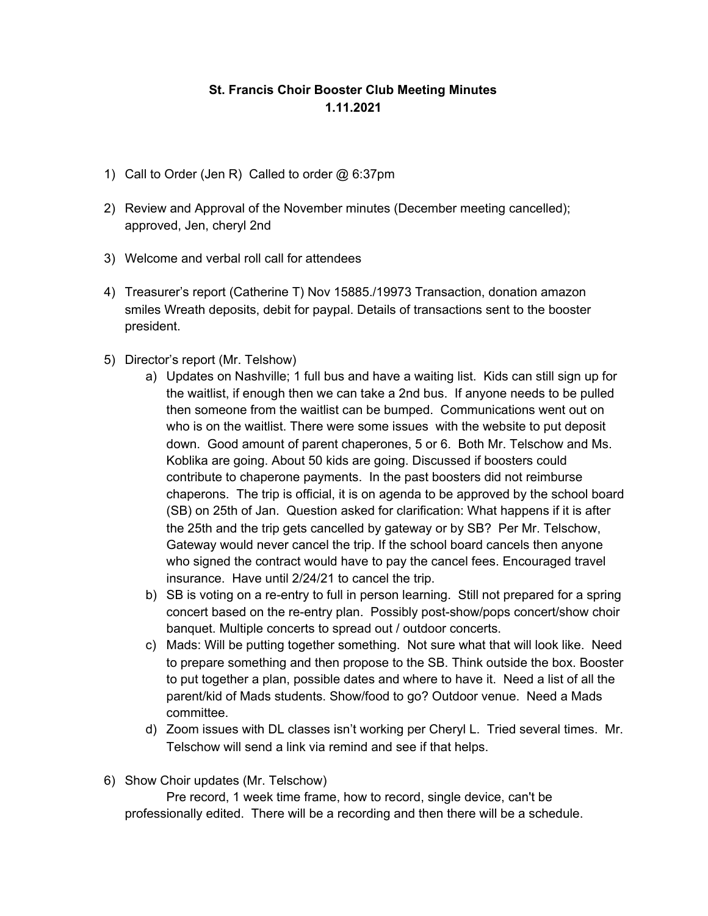## **St. Francis Choir Booster Club Meeting Minutes 1.11.2021**

- 1) Call to Order (Jen R) Called to order @ 6:37pm
- 2) Review and Approval of the November minutes (December meeting cancelled); approved, Jen, cheryl 2nd
- 3) Welcome and verbal roll call for attendees
- 4) Treasurer's report (Catherine T) Nov 15885./19973 Transaction, donation amazon smiles Wreath deposits, debit for paypal. Details of transactions sent to the booster president.
- 5) Director's report (Mr. Telshow)
	- a) Updates on Nashville; 1 full bus and have a waiting list. Kids can still sign up for the waitlist, if enough then we can take a 2nd bus. If anyone needs to be pulled then someone from the waitlist can be bumped. Communications went out on who is on the waitlist. There were some issues with the website to put deposit down. Good amount of parent chaperones, 5 or 6. Both Mr. Telschow and Ms. Koblika are going. About 50 kids are going. Discussed if boosters could contribute to chaperone payments. In the past boosters did not reimburse chaperons. The trip is official, it is on agenda to be approved by the school board (SB) on 25th of Jan. Question asked for clarification: What happens if it is after the 25th and the trip gets cancelled by gateway or by SB? Per Mr. Telschow, Gateway would never cancel the trip. If the school board cancels then anyone who signed the contract would have to pay the cancel fees. Encouraged travel insurance. Have until 2/24/21 to cancel the trip.
	- b) SB is voting on a re-entry to full in person learning. Still not prepared for a spring concert based on the re-entry plan. Possibly post-show/pops concert/show choir banquet. Multiple concerts to spread out / outdoor concerts.
	- c) Mads: Will be putting together something. Not sure what that will look like. Need to prepare something and then propose to the SB. Think outside the box. Booster to put together a plan, possible dates and where to have it. Need a list of all the parent/kid of Mads students. Show/food to go? Outdoor venue. Need a Mads committee.
	- d) Zoom issues with DL classes isn't working per Cheryl L. Tried several times. Mr. Telschow will send a link via remind and see if that helps.
- 6) Show Choir updates (Mr. Telschow)

Pre record, 1 week time frame, how to record, single device, can't be professionally edited. There will be a recording and then there will be a schedule.